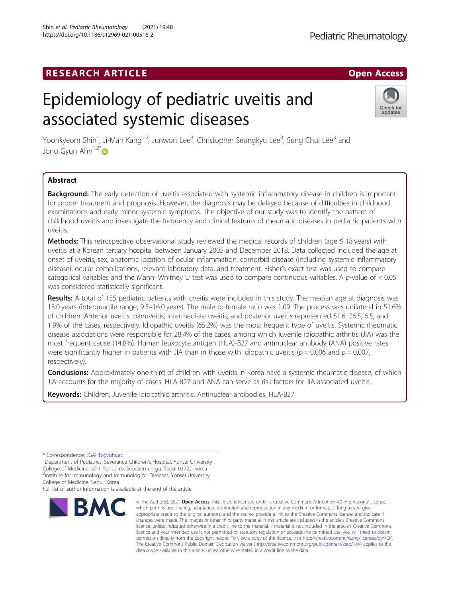# **RESEARCH ARTICLE Example 2018 12:00 Department of the CONNECTION CONNECTION CONNECTION CONNECTION CONNECTION**

# Epidemiology of pediatric uveitis and associated systemic diseases

Yoonkyeom Shin<sup>1</sup>, Ji-Man Kang<sup>1,2</sup>, Junwon Lee<sup>3</sup>, Christopher Seungkyu Lee<sup>3</sup>, Sung Chul Lee<sup>3</sup> and Jong Gyun Ahn<sup>1,2[\\*](http://orcid.org/0000-0001-5748-0015)</sup>

## Abstract

Background: The early detection of uveitis associated with systemic inflammatory disease in children is important for proper treatment and prognosis. However, the diagnosis may be delayed because of difficulties in childhood examinations and early minor systemic symptoms. The objective of our study was to identify the pattern of childhood uveitis and investigate the frequency and clinical features of rheumatic diseases in pediatric patients with uveitis.

Methods: This retrospective observational study reviewed the medical records of children (age ≤ 18 years) with uveitis at a Korean tertiary hospital between January 2005 and December 2018. Data collected included the age at onset of uveitis, sex, anatomic location of ocular inflammation, comorbid disease (including systemic inflammatory disease), ocular complications, relevant laboratory data, and treatment. Fisher's exact test was used to compare categorical variables and the Mann–Whitney U test was used to compare continuous variables. A p-value of  $< 0.05$ was considered statistically significant.

Results: A total of 155 pediatric patients with uveitis were included in this study. The median age at diagnosis was 13.0 years (interquartile range, 9.5–16.0 years). The male-to-female ratio was 1.09. The process was unilateral in 51.6% of children. Anterior uveitis, panuveitis, intermediate uveitis, and posterior uveitis represented 51.6, 26.5, 6.5, and 1.9% of the cases, respectively. Idiopathic uveitis (65.2%) was the most frequent type of uveitis. Systemic rheumatic disease associations were responsible for 28.4% of the cases, among which juvenile idiopathic arthritis (JIA) was the most frequent cause (14.8%). Human leukocyte antigen (HLA)-B27 and antinuclear antibody (ANA) positive rates were significantly higher in patients with JIA than in those with idiopathic uveitis ( $p = 0.006$  and  $p = 0.007$ , respectively).

Conclusions: Approximately one-third of children with uveitis in Korea have a systemic rheumatic disease, of which JIA accounts for the majority of cases. HLA-B27 and ANA can serve as risk factors for JIA-associated uveitis.

Keywords: Children, Juvenile idiopathic arthritis, Antinuclear antibodies, HLA-B27

<sup>1</sup>Department of Pediatrics, Severance Children's Hospital, Yonsei University College of Medicine, 50-1 Yonsei-ro, Seodaemun-gu, Seoul 03722, Korea <sup>2</sup>Institute for Immunology and Immunological Diseases, Yonsei University

College of Medicine, Seoul, Korea

Full list of author information is available at the end of the article



<sup>©</sup> The Author(s), 2021 **Open Access** This article is licensed under a Creative Commons Attribution 4.0 International License, which permits use, sharing, adaptation, distribution and reproduction in any medium or format, as long as you give appropriate credit to the original author(s) and the source, provide a link to the Creative Commons licence, and indicate if changes were made. The images or other third party material in this article are included in the article's Creative Commons licence, unless indicated otherwise in a credit line to the material. If material is not included in the article's Creative Commons licence and your intended use is not permitted by statutory regulation or exceeds the permitted use, you will need to obtain permission directly from the copyright holder. To view a copy of this licence, visit [http://creativecommons.org/licenses/by/4.0/.](http://creativecommons.org/licenses/by/4.0/) The Creative Commons Public Domain Dedication waiver [\(http://creativecommons.org/publicdomain/zero/1.0/](http://creativecommons.org/publicdomain/zero/1.0/)) applies to the data made available in this article, unless otherwise stated in a credit line to the data.



<sup>\*</sup> Correspondence: [JGAHN@yuhs.ac](mailto:JGAHN@yuhs.ac) <sup>1</sup>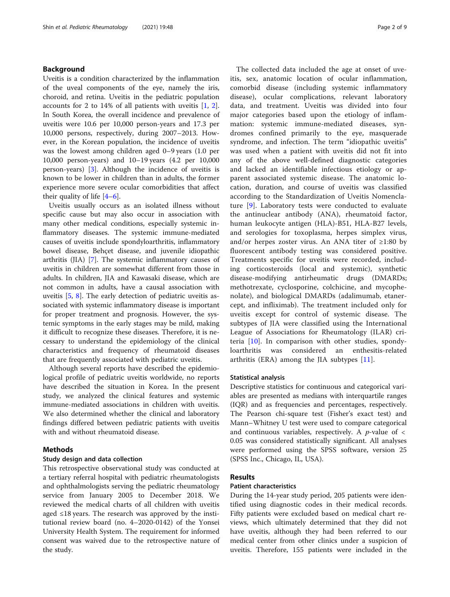## Background

Uveitis is a condition characterized by the inflammation of the uveal components of the eye, namely the iris, choroid, and retina. Uveitis in the pediatric population accounts for 2 to 14% of all patients with uveitis [\[1](#page-7-0), [2](#page-7-0)]. In South Korea, the overall incidence and prevalence of uveitis were 10.6 per 10,000 person-years and 17.3 per 10,000 persons, respectively, during 2007–2013. However, in the Korean population, the incidence of uveitis was the lowest among children aged 0–9 years (1.0 per 10,000 person-years) and 10–19 years (4.2 per 10,000 person-years) [[3\]](#page-7-0). Although the incidence of uveitis is known to be lower in children than in adults, the former experience more severe ocular comorbidities that affect their quality of life  $[4-6]$  $[4-6]$  $[4-6]$  $[4-6]$  $[4-6]$ .

Uveitis usually occurs as an isolated illness without specific cause but may also occur in association with many other medical conditions, especially systemic inflammatory diseases. The systemic immune-mediated causes of uveitis include spondyloarthritis, inflammatory bowel disease, Behçet disease, and juvenile idiopathic arthritis (JIA) [[7\]](#page-7-0). The systemic inflammatory causes of uveitis in children are somewhat different from those in adults. In children, JIA and Kawasaki disease, which are not common in adults, have a causal association with uveitis [[5,](#page-7-0) [8](#page-7-0)]. The early detection of pediatric uveitis associated with systemic inflammatory disease is important for proper treatment and prognosis. However, the systemic symptoms in the early stages may be mild, making it difficult to recognize these diseases. Therefore, it is necessary to understand the epidemiology of the clinical characteristics and frequency of rheumatoid diseases that are frequently associated with pediatric uveitis.

Although several reports have described the epidemiological profile of pediatric uveitis worldwide, no reports have described the situation in Korea. In the present study, we analyzed the clinical features and systemic immune-mediated associations in children with uveitis. We also determined whether the clinical and laboratory findings differed between pediatric patients with uveitis with and without rheumatoid disease.

## Methods

## Study design and data collection

This retrospective observational study was conducted at a tertiary referral hospital with pediatric rheumatologists and ophthalmologists serving the pediatric rheumatology service from January 2005 to December 2018. We reviewed the medical charts of all children with uveitis aged ≤18 years. The research was approved by the institutional review board (no. 4–2020-0142) of the Yonsei University Health System. The requirement for informed consent was waived due to the retrospective nature of the study.

The collected data included the age at onset of uveitis, sex, anatomic location of ocular inflammation, comorbid disease (including systemic inflammatory disease), ocular complications, relevant laboratory data, and treatment. Uveitis was divided into four major categories based upon the etiology of inflammation: systemic immune-mediated diseases, syndromes confined primarily to the eye, masquerade syndrome, and infection. The term "idiopathic uveitis" was used when a patient with uveitis did not fit into any of the above well-defined diagnostic categories and lacked an identifiable infectious etiology or apparent associated systemic disease. The anatomic location, duration, and course of uveitis was classified according to the Standardization of Uveitis Nomenclature [[9\]](#page-7-0). Laboratory tests were conducted to evaluate the antinuclear antibody (ANA), rheumatoid factor, human leukocyte antigen (HLA)-B51, HLA-B27 levels, and serologies for toxoplasma, herpes simplex virus, and/or herpes zoster virus. An ANA titer of ≥1:80 by fluorescent antibody testing was considered positive. Treatments specific for uveitis were recorded, including corticosteroids (local and systemic), synthetic disease-modifying antirheumatic drugs (DMARDs; methotrexate, cyclosporine, colchicine, and mycophenolate), and biological DMARDs (adalimumab, etanercept, and infliximab). The treatment included only for uveitis except for control of systemic disease. The subtypes of JIA were classified using the International League of Associations for Rheumatology (ILAR) criteria  $[10]$ . In comparison with other studies, spondyloarthritis was considered an enthesitis-related arthritis (ERA) among the JIA subtypes [[11\]](#page-7-0).

#### Statistical analysis

Descriptive statistics for continuous and categorical variables are presented as medians with interquartile ranges (IQR) and as frequencies and percentages, respectively. The Pearson chi-square test (Fisher's exact test) and Mann–Whitney U test were used to compare categorical and continuous variables, respectively. A  $p$ -value of  $\lt$ 0.05 was considered statistically significant. All analyses were performed using the SPSS software, version 25 (SPSS Inc., Chicago, IL, USA).

## Results

#### Patient characteristics

During the 14-year study period, 205 patients were identified using diagnostic codes in their medical records. Fifty patients were excluded based on medical chart reviews, which ultimately determined that they did not have uveitis, although they had been referred to our medical center from other clinics under a suspicion of uveitis. Therefore, 155 patients were included in the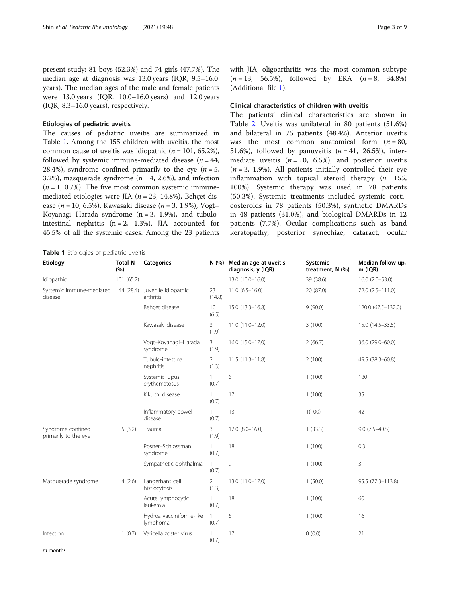present study: 81 boys (52.3%) and 74 girls (47.7%). The median age at diagnosis was 13.0 years (IQR, 9.5–16.0 years). The median ages of the male and female patients were 13.0 years (IQR, 10.0–16.0 years) and 12.0 years (IQR, 8.3–16.0 years), respectively.

## Etiologies of pediatric uveitis

The causes of pediatric uveitis are summarized in Table 1. Among the 155 children with uveitis, the most common cause of uveitis was idiopathic ( $n = 101, 65.2\%$ ), followed by systemic immune-mediated disease ( $n = 44$ , 28.4%), syndrome confined primarily to the eye ( $n = 5$ , 3.2%), masquerade syndrome  $(n = 4, 2.6\%)$ , and infection  $(n = 1, 0.7\%)$ . The five most common systemic immunemediated etiologies were JIA ( $n = 23$ , 14.8%), Behçet disease ( $n = 10, 6.5\%$ ), Kawasaki disease ( $n = 3, 1.9\%$ ), Vogt– Koyanagi–Harada syndrome  $(n = 3, 1.9\%)$ , and tubulointestinal nephritis  $(n = 2, 1.3\%)$ . JIA accounted for 45.5% of all the systemic cases. Among the 23 patients

Table 1 Etiologies of pediatric uveitis

with JIA, oligoarthritis was the most common subtype  $(n = 13, 56.5\%)$ , followed by ERA  $(n = 8, 34.8\%)$ (Additional file [1](#page-6-0)).

### Clinical characteristics of children with uveitis

The patients' clinical characteristics are shown in Table [2.](#page-3-0) Uveitis was unilateral in 80 patients (51.6%) and bilateral in 75 patients (48.4%). Anterior uveitis was the most common anatomical form  $(n = 80,$ 51.6%), followed by panuveitis  $(n = 41, 26.5)$ , intermediate uveitis ( $n = 10, 6.5\%$ ), and posterior uveitis  $(n = 3, 1.9\%)$ . All patients initially controlled their eye inflammation with topical steroid therapy  $(n = 155,$ 100%). Systemic therapy was used in 78 patients (50.3%). Systemic treatments included systemic corticosteroids in 78 patients (50.3%), synthetic DMARDs in 48 patients (31.0%), and biological DMARDs in 12 patients (7.7%). Ocular complications such as band keratopathy, posterior synechiae, cataract, ocular

| Etiology                                  | <b>Total N</b><br>(%) | <b>Categories</b>                    |                         | N (%) Median age at uveitis<br>diagnosis, y (IQR) | Systemic<br>treatment, N (%) | Median follow-up,<br>$m$ (IQR) |  |
|-------------------------------------------|-----------------------|--------------------------------------|-------------------------|---------------------------------------------------|------------------------------|--------------------------------|--|
| Idiopathic                                | 101 (65.2)            |                                      |                         | 13.0 (10.0-16.0)                                  | 39 (38.6)                    | $16.0(2.0-53.0)$               |  |
| Systemic immune-mediated<br>disease       | 44 (28.4)             | Juvenile idiopathic<br>arthritis     | 23<br>(14.8)            | $11.0(6.5 - 16.0)$                                | 20 (87.0)                    | 72.0 (2.5-111.0)               |  |
|                                           |                       | Behçet disease                       | 10<br>(6.5)             | 15.0 (13.3-16.8)                                  | 9(90.0)                      | 120.0 (67.5-132.0)             |  |
|                                           |                       | Kawasaki disease                     | 3<br>(1.9)              | 11.0 (11.0-12.0)                                  | 3(100)                       | 15.0 (14.5–33.5)               |  |
|                                           |                       | Vogt-Koyanagi-Harada<br>syndrome     | 3<br>(1.9)              | 16.0 (15.0-17.0)                                  | 2(66.7)                      | 36.0 (29.0-60.0)               |  |
|                                           |                       | Tubulo-intestinal<br>nephritis       | $\overline{2}$<br>(1.3) | $11.5(11.3 - 11.8)$                               | 2(100)                       | 49.5 (38.3-60.8)               |  |
|                                           |                       | Systemic lupus<br>erythematosus      | 1<br>(0.7)              | 6                                                 | 1(100)                       | 180                            |  |
|                                           |                       | Kikuchi disease                      | $\mathbf{1}$<br>(0.7)   | 17                                                | 1(100)                       | 35                             |  |
|                                           |                       | Inflammatory bowel<br>disease        | $\mathbf{1}$<br>(0.7)   | 13                                                | 1(100)                       | 42                             |  |
| Syndrome confined<br>primarily to the eye | 5(3.2)                | Trauma                               | 3<br>(1.9)              | $12.0 (8.0 - 16.0)$                               | 1(33.3)                      | $9.0(7.5-40.5)$                |  |
|                                           |                       | Posner-Schlossman<br>syndrome        | $\mathbf{1}$<br>(0.7)   | 18                                                | 1(100)                       | 0.3                            |  |
|                                           |                       | Sympathetic ophthalmia               | $\mathbf{1}$<br>(0.7)   | 9                                                 | 1(100)                       | 3                              |  |
| Masquerade syndrome                       | 4(2.6)                | Langerhans cell<br>histiocytosis     | 2<br>(1.3)              | 13.0 (11.0-17.0)                                  | 1(50.0)                      | 95.5 (77.3-113.8)              |  |
|                                           |                       | Acute lymphocytic<br>leukemia        | $\mathbf{1}$<br>(0.7)   | 18                                                | 1(100)                       | 60                             |  |
|                                           |                       | Hydroa vacciniforme-like<br>lymphoma | $\mathbf{1}$<br>(0.7)   | 6                                                 | 1(100)                       | 16                             |  |
| Infection                                 | 1(0.7)                | Varicella zoster virus               | $\mathbf{1}$<br>(0.7)   | 17                                                | 0(0.0)                       | 21                             |  |

m months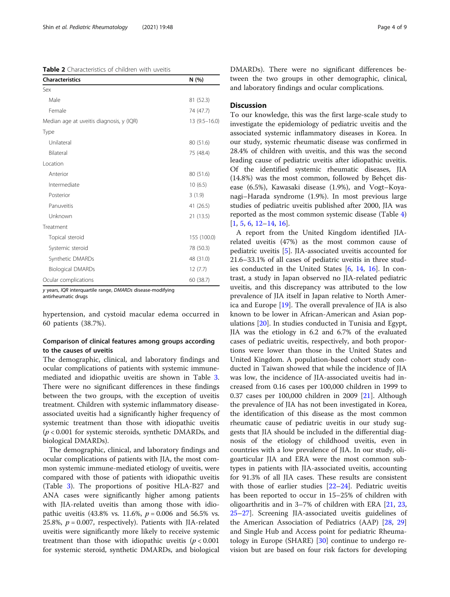<span id="page-3-0"></span>

| <b>Characteristics</b>                   | N(%)             |  |  |  |
|------------------------------------------|------------------|--|--|--|
| Sex                                      |                  |  |  |  |
| Male                                     | 81 (52.3)        |  |  |  |
| Female                                   | 74 (47.7)        |  |  |  |
| Median age at uveitis diagnosis, y (IQR) | $13(9.5 - 16.0)$ |  |  |  |
| Type                                     |                  |  |  |  |
| Unilateral                               | 80 (51.6)        |  |  |  |
| <b>Bilateral</b>                         | 75 (48.4)        |  |  |  |
| Location                                 |                  |  |  |  |
| Anterior                                 | 80 (51.6)        |  |  |  |
| Intermediate                             | 10(6.5)          |  |  |  |
| Posterior                                | 3(1.9)           |  |  |  |
| Panuveitis                               | 41 (26.5)        |  |  |  |
| Unknown                                  | 21 (13.5)        |  |  |  |
| Treatment                                |                  |  |  |  |
| Topical steroid                          | 155 (100.0)      |  |  |  |
| Systemic steroid                         | 78 (50.3)        |  |  |  |
| Synthetic DMARDs                         | 48 (31.0)        |  |  |  |
| <b>Biological DMARDs</b>                 | 12(7.7)          |  |  |  |
| Ocular complications                     | 60 (38.7)        |  |  |  |

y years, IQR interquartile range, DMARDs disease-modifying antirheumatic drugs

hypertension, and cystoid macular edema occurred in 60 patients (38.7%).

## Comparison of clinical features among groups according to the causes of uveitis

The demographic, clinical, and laboratory findings and ocular complications of patients with systemic immunemediated and idiopathic uveitis are shown in Table [3](#page-4-0). There were no significant differences in these findings between the two groups, with the exception of uveitis treatment. Children with systemic inflammatory diseaseassociated uveitis had a significantly higher frequency of systemic treatment than those with idiopathic uveitis  $(p < 0.001$  for systemic steroids, synthetic DMARDs, and biological DMARDs).

The demographic, clinical, and laboratory findings and ocular complications of patients with JIA, the most common systemic immune-mediated etiology of uveitis, were compared with those of patients with idiopathic uveitis (Table [3](#page-4-0)). The proportions of positive HLA-B27 and ANA cases were significantly higher among patients with JIA-related uveitis than among those with idiopathic uveitis (43.8% vs. 11.6%,  $p = 0.006$  and 56.5% vs. 25.8%,  $p = 0.007$ , respectively). Patients with JIA-related uveitis were significantly more likely to receive systemic treatment than those with idiopathic uveitis  $(p < 0.001)$ for systemic steroid, synthetic DMARDs, and biological DMARDs). There were no significant differences between the two groups in other demographic, clinical, and laboratory findings and ocular complications.

## **Discussion**

To our knowledge, this was the first large-scale study to investigate the epidemiology of pediatric uveitis and the associated systemic inflammatory diseases in Korea. In our study, systemic rheumatic disease was confirmed in 28.4% of children with uveitis, and this was the second leading cause of pediatric uveitis after idiopathic uveitis. Of the identified systemic rheumatic diseases, JIA (14.8%) was the most common, followed by Behçet disease (6.5%), Kawasaki disease (1.9%), and Vogt–Koyanagi–Harada syndrome (1.9%). In most previous large studies of pediatric uveitis published after 2000, JIA was reported as the most common systemic disease (Table [4](#page-5-0)) [[1,](#page-7-0) [5,](#page-7-0) [6,](#page-7-0) [12](#page-7-0)–[14](#page-7-0), [16](#page-7-0)].

A report from the United Kingdom identified JIArelated uveitis (47%) as the most common cause of pediatric uveitis [[5\]](#page-7-0). JIA-associated uveitis accounted for 21.6–33.1% of all cases of pediatric uveitis in three studies conducted in the United States [[6,](#page-7-0) [14](#page-7-0), [16](#page-7-0)]. In contrast, a study in Japan observed no JIA-related pediatric uveitis, and this discrepancy was attributed to the low prevalence of JIA itself in Japan relative to North America and Europe [\[19](#page-7-0)]. The overall prevalence of JIA is also known to be lower in African-American and Asian populations [\[20](#page-7-0)]. In studies conducted in Tunisia and Egypt, JIA was the etiology in 6.2 and 6.7% of the evaluated cases of pediatric uveitis, respectively, and both proportions were lower than those in the United States and United Kingdom. A population-based cohort study conducted in Taiwan showed that while the incidence of JIA was low, the incidence of JIA-associated uveitis had increased from 0.16 cases per 100,000 children in 1999 to 0.37 cases per 100,000 children in 2009 [[21\]](#page-7-0). Although the prevalence of JIA has not been investigated in Korea, the identification of this disease as the most common rheumatic cause of pediatric uveitis in our study suggests that JIA should be included in the differential diagnosis of the etiology of childhood uveitis, even in countries with a low prevalence of JIA. In our study, oligoarticular JIA and ERA were the most common subtypes in patients with JIA-associated uveitis, accounting for 91.3% of all JIA cases. These results are consistent with those of earlier studies [\[22](#page-7-0)–[24\]](#page-7-0). Pediatric uveitis has been reported to occur in 15–25% of children with oligoarthritis and in 3–7% of children with ERA [\[21](#page-7-0), [23](#page-7-0), [25](#page-7-0)–[27](#page-7-0)]. Screening JIA-associated uveitis guidelines of the American Association of Pediatrics (AAP) [\[28,](#page-7-0) [29](#page-7-0)] and Single Hub and Access point for pediatric Rheumatology in Europe (SHARE)  $[30]$  $[30]$  continue to undergo revision but are based on four risk factors for developing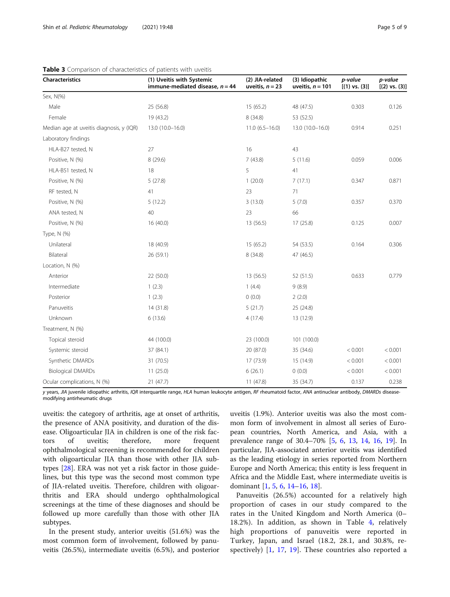Characteristics

Laboratory findings HLA-B27 tested, N

Median age at uveitis diagnosis, y

Sex, N(%)

<span id="page-4-0"></span>

| aracteristics                           | (1) Uveitis with Systemic<br>immune-mediated disease, $n = 44$ | (2) JIA-related<br>uveitis, $n = 23$ | (3) Idiopathic<br>uveitis, $n = 101$ | p-value<br>$[(1) \text{ vs. } (3)]$ | p-value<br>$[(2) \text{ vs. } (3)]$ |  |
|-----------------------------------------|----------------------------------------------------------------|--------------------------------------|--------------------------------------|-------------------------------------|-------------------------------------|--|
| x, N(%)                                 |                                                                |                                      |                                      |                                     |                                     |  |
| Male                                    | 25 (56.8)                                                      | 15(65.2)                             | 48 (47.5)                            | 0.303                               | 0.126                               |  |
| Female                                  | 19 (43.2)                                                      | 8(34.8)                              | 53 (52.5)                            |                                     |                                     |  |
| edian age at uveitis diagnosis, y (IQR) | 13.0 (10.0-16.0)                                               | $11.0(6.5 - 16.0)$                   | 13.0 (10.0-16.0)                     | 0.914                               | 0.251                               |  |
| boratory findings                       |                                                                |                                      |                                      |                                     |                                     |  |
| HLA-B27 tested, N                       | 27                                                             | 16                                   | 43                                   |                                     |                                     |  |
| Positive, N (%)                         | 8(29.6)                                                        | 7(43.8)                              | 5(11.6)                              | 0.059                               | 0.006                               |  |
| HLA-B51 tested, N                       | 18                                                             | 5                                    | 41                                   |                                     |                                     |  |
| Positive, N (%)                         | 5(27.8)                                                        | 1(20.0)                              | 7(17.1)                              | 0.347                               | 0.871                               |  |
| RF tested, N                            | 41                                                             | 23                                   | 71                                   |                                     |                                     |  |
| Positive, N (%)                         | 5(12.2)                                                        | 3(13.0)                              | 5(7.0)                               | 0.357                               | 0.370                               |  |

Table 3 Comparison of characteristics

| 8(29.6)    | 7(43.8)    | 5(11.6)     | 0.059   | 0.006   |  |
|------------|------------|-------------|---------|---------|--|
| 18         | 5          | 41          |         |         |  |
| 5(27.8)    | 1(20.0)    | 7(17.1)     | 0.347   | 0.871   |  |
| 41         | 23         | 71          |         |         |  |
| 5(12.2)    | 3(13.0)    | 5(7.0)      | 0.357   | 0.37C   |  |
| 40         | 23         | 66          |         |         |  |
| 16(40.0)   | 13 (56.5)  | 17(25.8)    | 0.125   | 0.007   |  |
|            |            |             |         |         |  |
| 18 (40.9)  | 15(65.2)   | 54 (53.5)   | 0.164   | 0.306   |  |
| 26 (59.1)  | 8 (34.8)   | 47 (46.5)   |         |         |  |
|            |            |             |         |         |  |
| 22 (50.0)  | 13 (56.5)  | 52 (51.5)   | 0.633   | 0.779   |  |
| 1(2.3)     | 1(4.4)     | 9(8.9)      |         |         |  |
| 1(2.3)     | 0(0.0)     | 2(2.0)      |         |         |  |
| 14 (31.8)  | 5(21.7)    | 25 (24.8)   |         |         |  |
| 6(13.6)    | 4(17.4)    | 13 (12.9)   |         |         |  |
|            |            |             |         |         |  |
| 44 (100.0) | 23 (100.0) | 101 (100.0) |         |         |  |
| 37 (84.1)  | 20 (87.0)  | 35 (34.6)   | < 0.001 | < 0.001 |  |
| 31 (70.5)  | 17 (73.9)  | 15 (14.9)   | < 0.001 | < 0.001 |  |
| 11(25.0)   | 6(26.1)    | 0(0.0)      | < 0.001 | < 0.001 |  |
| 21(47.7)   | 11(47.8)   | 35 (34.7)   | 0.137   | 0.238   |  |
|            |            |             |         |         |  |

y years, JIA juvenile idiopathic arthritis, IQR interquartile range, HLA human leukocyte antigen, RF rheumatoid factor, ANA antinuclear antibody, DMARDs diseasemodifying antirheumatic drugs

uveitis: the category of arthritis, age at onset of arthritis, the presence of ANA positivity, and duration of the disease. Oligoarticular JIA in children is one of the risk factors of uveitis; therefore, more frequent ophthalmological screening is recommended for children with oligoarticular JIA than those with other JIA subtypes [\[28\]](#page-7-0). ERA was not yet a risk factor in those guidelines, but this type was the second most common type of JIA-related uveitis. Therefore, children with oligoarthritis and ERA should undergo ophthalmological screenings at the time of these diagnoses and should be followed up more carefully than those with other JIA subtypes.

In the present study, anterior uveitis (51.6%) was the most common form of involvement, followed by panuveitis (26.5%), intermediate uveitis (6.5%), and posterior

uveitis (1.9%). Anterior uveitis was also the most common form of involvement in almost all series of European countries, North America, and Asia, with a prevalence range of 30.4–70% [[5,](#page-7-0) [6](#page-7-0), [13](#page-7-0), [14,](#page-7-0) [16,](#page-7-0) [19](#page-7-0)]. In particular, JIA-associated anterior uveitis was identified as the leading etiology in series reported from Northern Europe and North America; this entity is less frequent in Africa and the Middle East, where intermediate uveitis is dominant [\[1](#page-7-0), [5](#page-7-0), [6](#page-7-0), [14](#page-7-0)–[16,](#page-7-0) [18\]](#page-7-0).

Panuveitis (26.5%) accounted for a relatively high proportion of cases in our study compared to the rates in the United Kingdom and North America (0– 18.2%). In addition, as shown in Table [4,](#page-5-0) relatively high proportions of panuveitis were reported in Turkey, Japan, and Israel (18.2, 28.1, and 30.8%, respectively) [[1,](#page-7-0) [17,](#page-7-0) [19](#page-7-0)]. These countries also reported a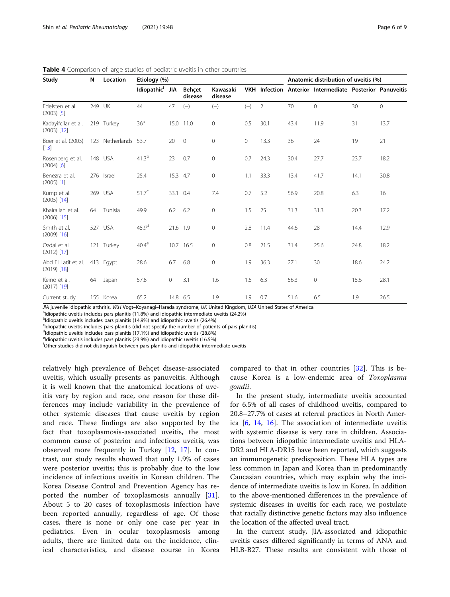| Study                                | N   | Location             | Etiology (%)                |          |                   |                     |                     |                | Anatomic distribution of uveitis (%) |                                                          |      |             |
|--------------------------------------|-----|----------------------|-----------------------------|----------|-------------------|---------------------|---------------------|----------------|--------------------------------------|----------------------------------------------------------|------|-------------|
|                                      |     |                      | Idiopathic <sup>f</sup> JIA |          | Behçet<br>disease | Kawasaki<br>disease |                     |                |                                      | VKH Infection Anterior Intermediate Posterior Panuveitis |      |             |
| Edelsten et al.<br>$(2003)$ [5]      | 249 | UK                   | 44                          | 47       | $(-)$             | $(-)$               | $(-)$               | $\overline{2}$ | 70                                   | $\mathbf{0}$                                             | 30   | $\mathbf 0$ |
| Kadayifcilar et al.<br>$(2003)$ [12] |     | 219 Turkey           | 36 <sup>a</sup>             |          | 15.0 11.0         | 0                   | 0.5                 | 30.1           | 43.4                                 | 11.9                                                     | 31   | 13.7        |
| Boer et al. (2003)<br>$[13]$         |     | 123 Netherlands 53.7 |                             | 20       | $\overline{0}$    | 0                   | $\mathsf{O}\xspace$ | 13.3           | 36                                   | 24                                                       | 19   | 21          |
| Rosenberg et al.<br>$(2004)$ [6]     |     | 148 USA              | $41.3^{b}$                  | 23       | 0.7               | 0                   | 0.7                 | 24.3           | 30.4                                 | 27.7                                                     | 23.7 | 18.2        |
| Benezra et al.<br>$(2005)$ [1]       |     | 276 Israel           | 25.4                        | 15.3 4.7 |                   | 0                   | 1.1                 | 33.3           | 13.4                                 | 41.7                                                     | 14.1 | 30.8        |
| Kump et al.<br>$(2005)$ [14]         |     | 269 USA              | $51.7^{\circ}$              | 33.1     | 0.4               | 7.4                 | 0.7                 | 5.2            | 56.9                                 | 20.8                                                     | 6.3  | 16          |
| Khairallah et al.<br>$(2006)$ [15]   | 64  | Tunisia              | 49.9                        | 6.2      | 6.2               | $\mathbf{0}$        | 1.5                 | 25             | 31.3                                 | 31.3                                                     | 20.3 | 17.2        |
| Smith et al.<br>$(2009)$ [16]        |     | 527 USA              | 45.9 <sup>d</sup>           | 21.6 1.9 |                   | $\mathbf{0}$        | 2.8                 | 11.4           | 44.6                                 | 28                                                       | 14.4 | 12.9        |
| Ozdal et al.<br>$(2012)$ [17]        |     | 121 Turkey           | $40.4^\mathrm{e}$           |          | 10.7 16.5         | 0                   | 0.8                 | 21.5           | 31.4                                 | 25.6                                                     | 24.8 | 18.2        |
| Abd El Latif et al.<br>$(2019)$ [18] |     | 413 Egypt            | 28.6                        | 6.7      | 6.8               | 0                   | 1.9                 | 36.3           | 27.1                                 | 30                                                       | 18.6 | 24.2        |
| Keino et al.<br>$(2017)$ [19]        | 64  | Japan                | 57.8                        | 0        | 3.1               | 1.6                 | 1.6                 | 6.3            | 56.3                                 | $\mathbf{0}$                                             | 15.6 | 28.1        |
| Current study                        |     | 155 Korea            | 65.2                        | 14.8 6.5 |                   | 1.9                 | 1.9                 | 0.7            | 51.6                                 | 6.5                                                      | 1.9  | 26.5        |

<span id="page-5-0"></span>Table 4 Comparison of large studies of pediatric uveitis in other countries

JIA juvenile idiopathic arthritis, VKH Vogt-Koyanagi-Harada syndrome, UK United Kingdom, USA United States of America

<sup>a</sup>ldiopathic uveitis includes pars planitis (11.8%) and idiopathic intermediate uveitis (24.2%)

<sup>b</sup>ldiopathic uveitis includes pars planitis (14.9%) and idiopathic uveitis (26.4%)

Idiopathic uveitis includes pars planitis (did not specify the number of patients of pars planitis)

<sup>d</sup>ldiopathic uveitis includes pars planitis (17.1%) and idiopathic uveitis (28.8%)

eldiopathic uveitis includes pars planitis (23.9%) and idiopathic uveitis (16.5%)

<sup>f</sup>Other studies did not distinguish between pars planitis and idiopathic intermediate uveitis

relatively high prevalence of Behçet disease-associated uveitis, which usually presents as panuveitis. Although it is well known that the anatomical locations of uveitis vary by region and race, one reason for these differences may include variability in the prevalence of other systemic diseases that cause uveitis by region and race. These findings are also supported by the fact that toxoplasmosis-associated uveitis, the most common cause of posterior and infectious uveitis, was observed more frequently in Turkey [[12,](#page-7-0) [17](#page-7-0)]. In contrast, our study results showed that only 1.9% of cases were posterior uveitis; this is probably due to the low incidence of infectious uveitis in Korean children. The Korea Disease Control and Prevention Agency has reported the number of toxoplasmosis annually [\[31](#page-8-0)]. About 5 to 20 cases of toxoplasmosis infection have been reported annually, regardless of age. Of those cases, there is none or only one case per year in pediatrics. Even in ocular toxoplasmosis among adults, there are limited data on the incidence, clinical characteristics, and disease course in Korea

compared to that in other countries [[32\]](#page-8-0). This is because Korea is a low-endemic area of Toxoplasma gondii.

In the present study, intermediate uveitis accounted for 6.5% of all cases of childhood uveitis, compared to 20.8–27.7% of cases at referral practices in North America  $[6, 14, 16]$  $[6, 14, 16]$  $[6, 14, 16]$  $[6, 14, 16]$  $[6, 14, 16]$  $[6, 14, 16]$ . The association of intermediate uveitis with systemic disease is very rare in children. Associations between idiopathic intermediate uveitis and HLA-DR2 and HLA-DR15 have been reported, which suggests an immunogenetic predisposition. These HLA types are less common in Japan and Korea than in predominantly Caucasian countries, which may explain why the incidence of intermediate uveitis is low in Korea. In addition to the above-mentioned differences in the prevalence of systemic diseases in uveitis for each race, we postulate that racially distinctive genetic factors may also influence the location of the affected uveal tract.

In the current study, JIA-associated and idiopathic uveitis cases differed significantly in terms of ANA and HLB-B27. These results are consistent with those of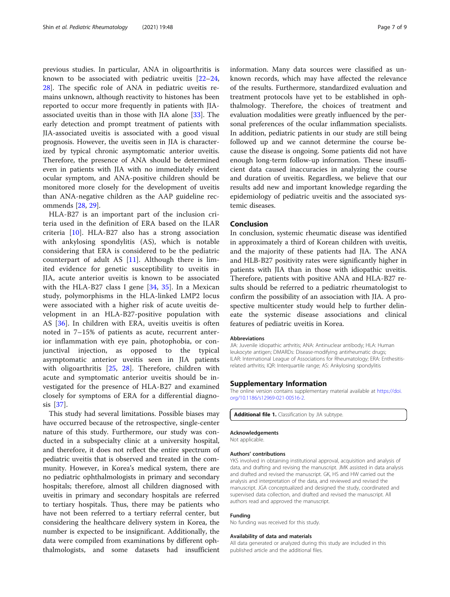<span id="page-6-0"></span>previous studies. In particular, ANA in oligoarthritis is known to be associated with pediatric uveitis  $[22-24,$  $[22-24,$  $[22-24,$  $[22-24,$  $[22-24,$ [28\]](#page-7-0). The specific role of ANA in pediatric uveitis remains unknown, although reactivity to histones has been reported to occur more frequently in patients with JIAassociated uveitis than in those with JIA alone [[33\]](#page-8-0). The early detection and prompt treatment of patients with JIA-associated uveitis is associated with a good visual prognosis. However, the uveitis seen in JIA is characterized by typical chronic asymptomatic anterior uveitis. Therefore, the presence of ANA should be determined even in patients with JIA with no immediately evident ocular symptom, and ANA-positive children should be monitored more closely for the development of uveitis than ANA-negative children as the AAP guideline recommends [\[28,](#page-7-0) [29\]](#page-7-0).

HLA-B27 is an important part of the inclusion criteria used in the definition of ERA based on the ILAR criteria [[10](#page-7-0)]. HLA-B27 also has a strong association with ankylosing spondylitis (AS), which is notable considering that ERA is considered to be the pediatric counterpart of adult AS [[11\]](#page-7-0). Although there is limited evidence for genetic susceptibility to uveitis in JIA, acute anterior uveitis is known to be associated with the HLA-B27 class I gene  $[34, 35]$  $[34, 35]$  $[34, 35]$  $[34, 35]$ . In a Mexican study, polymorphisms in the HLA-linked LMP2 locus were associated with a higher risk of acute uveitis development in an HLA-B27-positive population with AS [\[36](#page-8-0)]. In children with ERA, uveitis uveitis is often noted in 7–15% of patients as acute, recurrent anterior inflammation with eye pain, photophobia, or conjunctival injection, as opposed to the typical asymptomatic anterior uveitis seen in JIA patients with oligoarthritis [[25,](#page-7-0) [28\]](#page-7-0). Therefore, children with acute and symptomatic anterior uveitis should be investigated for the presence of HLA-B27 and examined closely for symptoms of ERA for a differential diagnosis [\[37](#page-8-0)].

This study had several limitations. Possible biases may have occurred because of the retrospective, single-center nature of this study. Furthermore, our study was conducted in a subspecialty clinic at a university hospital, and therefore, it does not reflect the entire spectrum of pediatric uveitis that is observed and treated in the community. However, in Korea's medical system, there are no pediatric ophthalmologists in primary and secondary hospitals; therefore, almost all children diagnosed with uveitis in primary and secondary hospitals are referred to tertiary hospitals. Thus, there may be patients who have not been referred to a tertiary referral center, but considering the healthcare delivery system in Korea, the number is expected to be insignificant. Additionally, the data were compiled from examinations by different ophthalmologists, and some datasets had insufficient

information. Many data sources were classified as unknown records, which may have affected the relevance of the results. Furthermore, standardized evaluation and treatment protocols have yet to be established in ophthalmology. Therefore, the choices of treatment and evaluation modalities were greatly influenced by the personal preferences of the ocular inflammation specialists. In addition, pediatric patients in our study are still being followed up and we cannot determine the course because the disease is ongoing. Some patients did not have enough long-term follow-up information. These insufficient data caused inaccuracies in analyzing the course and duration of uveitis. Regardless, we believe that our results add new and important knowledge regarding the epidemiology of pediatric uveitis and the associated systemic diseases.

## Conclusion

In conclusion, systemic rheumatic disease was identified in approximately a third of Korean children with uveitis, and the majority of these patients had JIA. The ANA and HLB-B27 positivity rates were significantly higher in patients with JIA than in those with idiopathic uveitis. Therefore, patients with positive ANA and HLA-B27 results should be referred to a pediatric rheumatologist to confirm the possibility of an association with JIA. A prospective multicenter study would help to further delineate the systemic disease associations and clinical features of pediatric uveitis in Korea.

#### Abbreviations

JIA: Juvenile idiopathic arthritis; ANA: Antinuclear antibody; HLA: Human leukocyte antigen; DMARDs: Disease-modifying antirheumatic drugs; ILAR: International League of Associations for Rheumatology; ERA: Enthesitisrelated arthritis; IQR: Interquartile range; AS: Ankylosing spondylitis

#### Supplementary Information

The online version contains supplementary material available at [https://doi.](https://doi.org/10.1186/s12969-021-00516-2) [org/10.1186/s12969-021-00516-2.](https://doi.org/10.1186/s12969-021-00516-2)

Additional file 1. Classification by JIA subtype.

#### Acknowledgements

Not applicable.

#### Authors' contributions

YKS involved in obtaining institutional approval, acquisition and analysis of data, and drafting and revising the manuscript. JMK assisted in data analysis and drafted and revised the manuscript. GK, HS and HW carried out the analysis and interpretation of the data, and reviewed and revised the manuscript. JGA conceptualized and designed the study, coordinated and supervised data collection, and drafted and revised the manuscript. All authors read and approved the manuscript.

#### Funding

No funding was received for this study.

#### Availability of data and materials

All data generated or analyzed during this study are included in this published article and the additional files.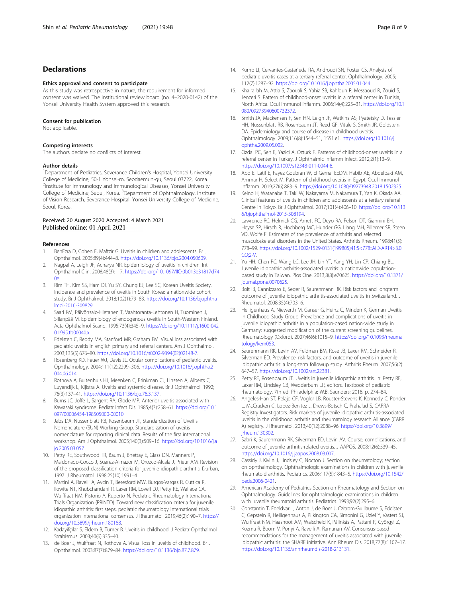## <span id="page-7-0"></span>**Declarations**

#### Ethics approval and consent to participate

As this study was retrospective in nature, the requirement for informed consent was waived. The institutional review board (no. 4–2020-0142) of the Yonsei University Health System approved this research.

#### Consent for publication

Not applicable.

#### Competing interests

The authors declare no conflicts of interest.

#### Author details

<sup>1</sup>Department of Pediatrics, Severance Children's Hospital, Yonsei University College of Medicine, 50-1 Yonsei-ro, Seodaemun-gu, Seoul 03722, Korea. <sup>2</sup>Institute for Immunology and Immunological Diseases, Yonsei University College of Medicine, Seoul, Korea. <sup>3</sup>Department of Ophthalmology, Institute of Vision Research, Severance Hospital, Yonsei University College of Medicine, Seoul, Korea.

#### Received: 20 August 2020 Accepted: 4 March 2021 Published online: 01 April 2021

#### References

- 1. BenEzra D, Cohen E, Maftzir G. Uveitis in children and adolescents. Br J Ophthalmol. 2005;89(4):444–8. <https://doi.org/10.1136/bjo.2004.050609>.
- 2. Nagpal A, Leigh JF, Acharya NR. Epidemiology of uveitis in children. Int Ophthalmol Clin. 2008;48(3):1–7. [https://doi.org/10.1097/IIO.0b013e31817d74](https://doi.org/10.1097/IIO.0b013e31817d740e)  $0e$
- 3. Rim TH, Kim SS, Ham DI, Yu SY, Chung EJ, Lee SC, Korean Uveitis Society. Incidence and prevalence of uveitis in South Korea: a nationwide cohort study. Br J Ophthalmol. 2018;102(1):79–83. [https://doi.org/10.1136/bjophtha](https://doi.org/10.1136/bjophthalmol-2016-309829) [lmol-2016-309829.](https://doi.org/10.1136/bjophthalmol-2016-309829)
- 4. Saari KM, Päivönsalo-Hietanen T, Vaahtoranta-Lehtonen H, Tuominen J, Sillanpää M. Epidemiology of endogenous uveitis in South-Western Finland. Acta Ophthalmol Scand. 1995;73(4):345–9. [https://doi.org/10.1111/j.1600-042](https://doi.org/10.1111/j.1600-0420.1995.tb00040.x) [0.1995.tb00040.x](https://doi.org/10.1111/j.1600-0420.1995.tb00040.x).
- 5. Edelsten C, Reddy MA, Stanford MR, Graham EM. Visual loss associated with pediatric uveitis in english primary and referral centers. Am J Ophthalmol. 2003;135(5):676–80. [https://doi.org/10.1016/s0002-9394\(02\)02148-7](https://doi.org/10.1016/s0002-9394(02)02148-7).
- 6. Rosenberg KD, Feuer WJ, Davis JL. Ocular complications of pediatric uveitis. Ophthalmology. 2004;111(12):2299–306. [https://doi.org/10.1016/j.ophtha.2](https://doi.org/10.1016/j.ophtha.2004.06.014) [004.06.014](https://doi.org/10.1016/j.ophtha.2004.06.014).
- 7. Rothova A, Buitenhuis HJ, Meenken C, Brinkman CJ, Linssen A, Alberts C, Luyendijk L, Kijlstra A. Uveitis and systemic disease. Br J Ophthalmol. 1992; 76(3):137–41. <https://doi.org/10.1136/bjo.76.3.137>.
- 8. Burns JC, Joffe L, Sargent RA, Glode MP. Anterior uveitis associated with Kawasaki syndrome. Pediatr Infect Dis. 1985;4(3):258–61. [https://doi.org/10.1](https://doi.org/10.1097/00006454-198505000-00010) [097/00006454-198505000-00010.](https://doi.org/10.1097/00006454-198505000-00010)
- 9. Jabs DA, Nussenblatt RB, Rosenbaum JT, Standardization of Uveitis Nomenclature (SUN) Working Group. Standardization of uveitis nomenclature for reporting clinical data. Results of the first international workshop. Am J Ophthalmol. 2005;140(3):509–16. [https://doi.org/10.1016/j.a](https://doi.org/10.1016/j.ajo.2005.03.057) [jo.2005.03.057](https://doi.org/10.1016/j.ajo.2005.03.057).
- 10. Petty RE, Southwood TR, Baum J, Bhettay E, Glass DN, Manners P, Maldonado-Cocco J, Suarez-Almazor M, Orozco-Alcala J, Prieur AM. Revision of the proposed classification criteria for juvenile idiopathic arthritis: Durban, 1997. J Rheumatol. 1998;25(10):1991–4.
- 11. Martini A, Ravelli A, Avcin T, Beresford MW, Burgos-Vargas R, Cuttica R, Ilowite NT, Khubchandani R, Laxer RM, Lovell DJ, Petty RE, Wallace CA, Wulffraat NM, Pistorio A, Ruperto N, Pediatric Rheumatology International Trials Organization (PRINTO). Toward new classification criteria for juvenile idiopathic arthritis: first steps, pediatric rheumatology international trials organization international consensus. J Rheumatol. 2019;46(2):190–7. [https://](https://doi.org/10.3899/jrheum.180168) [doi.org/10.3899/jrheum.180168](https://doi.org/10.3899/jrheum.180168).
- 12. Kadayifçilar S, Eldem B, Tumer B. Uveitis in childhood. J Pediatr Ophthalmol Strabismus. 2003;40(6):335–40.
- 13. de Boer J, Wulffraat N, Rothova A. Visual loss in uveitis of childhood. Br J Ophthalmol. 2003;87(7):879–84. <https://doi.org/10.1136/bjo.87.7.879>.
- 14. Kump LI, Cervantes-Castañeda RA, Androudi SN, Foster CS. Analysis of pediatric uveitis cases at a tertiary referral center. Ophthalmology. 2005; 112(7):1287–92. <https://doi.org/10.1016/j.ophtha.2005.01.044>.
- 15. Khairallah M, Attia S, Zaouali S, Yahia SB, Kahloun R, Messaoud R, Zouid S, Jenzeri S. Pattern of childhood-onset uveitis in a referral center in Tunisia, North Africa. Ocul Immunol Inflamm. 2006;14(4):225–31. [https://doi.org/10.1](https://doi.org/10.1080/09273940600732372) [080/09273940600732372](https://doi.org/10.1080/09273940600732372).
- 16. Smith JA, Mackensen F, Sen HN, Leigh JF, Watkins AS, Pyatetsky D, Tessler HH, Nussenblatt RB, Rosenbaum JT, Reed GF, Vitale S, Smith JR, Goldstein DA. Epidemiology and course of disease in childhood uveitis. Ophthalmology. 2009;116(8):1544–51, 1551.e1. [https://doi.org/10.1016/j.](https://doi.org/10.1016/j.ophtha.2009.05.002) [ophtha.2009.05.002.](https://doi.org/10.1016/j.ophtha.2009.05.002)
- 17. Ozdal PC, Sen E, Yazici A, Ozturk F. Patterns of childhood-onset uveitis in a referral center in Turkey. J Ophthalmic Inflamm Infect. 2012;2(1):13–9. <https://doi.org/10.1007/s12348-011-0044-8>.
- 18. Abd El Latif E, Fayez Goubran W, El Gemai EEDM, Habib AE, Abdelbaki AM, Ammar H, Seleet M. Pattern of childhood uveitis in Egypt. Ocul Immunol Inflamm. 2019;27(6):883–9. <https://doi.org/10.1080/09273948.2018.1502325>.
- 19. Keino H, Watanabe T, Taki W, Nakayama M, Nakamura T, Yan K, Okada AA. Clinical features of uveitis in children and adolescents at a tertiary referral Centre in Tokyo. Br J Ophthalmol. 2017;101(4):406–10. [https://doi.org/10.113](https://doi.org/10.1136/bjophthalmol-2015-308194) [6/bjophthalmol-2015-308194](https://doi.org/10.1136/bjophthalmol-2015-308194).
- 20. Lawrence RC, Helmick CG, Arnett FC, Deyo RA, Felson DT, Giannini EH, Heyse SP, Hirsch R, Hochberg MC, Hunder GG, Liang MH, Pillemer SR, Steen VD, Wolfe F. Estimates of the prevalence of arthritis and selected musculoskeletal disorders in the United States. Arthritis Rheum. 1998;41(5): 778–99. [https://doi.org/10.1002/1529-0131\(199805\)41:5<778::AID-ART4>3.0.](https://doi.org/10.1002/1529-0131(199805)41:5<778::AID-ART4>3.0.CO;2-V) [CO;2-V.](https://doi.org/10.1002/1529-0131(199805)41:5<778::AID-ART4>3.0.CO;2-V)
- 21. Yu HH, Chen PC, Wang LC, Lee JH, Lin YT, Yang YH, Lin CP, Chiang BL. Juvenile idiopathic arthritis-associated uveitis: a nationwide populationbased study in Taiwan. Plos One. 2013;8(8):e70625. [https://doi.org/10.1371/](https://doi.org/10.1371/journal.pone.0070625) [journal.pone.0070625](https://doi.org/10.1371/journal.pone.0070625).
- 22. Bolt IB, Cannizzaro E, Seger R, Saurenmann RK. Risk factors and longterm outcome of juvenile idiopathic arthritis-associated uveitis in Switzerland. J Rheumatol. 2008;35(4):703–6.
- 23. Heiligenhaus A, Niewerth M, Ganser G, Heinz C, Minden K, German Uveitis in Childhood Study Group. Prevalence and complications of uveitis in juvenile idiopathic arthritis in a population-based nation-wide study in Germany: suggested modification of the current screening guidelines. Rheumatology (Oxford). 2007;46(6):1015–9. [https://doi.org/10.1093/rheuma](https://doi.org/10.1093/rheumatology/kem053) [tology/kem053.](https://doi.org/10.1093/rheumatology/kem053)
- 24. Saurenmann RK, Levin AV, Feldman BM, Rose JB, Laxer RM, Schneider R, Silverman ED. Prevalence, risk factors, and outcome of uveitis in juvenile idiopathic arthritis: a long-term followup study. Arthritis Rheum. 2007;56(2): 647–57. [https://doi.org/10.1002/art.22381.](https://doi.org/10.1002/art.22381)
- 25. Petty RE, Rosenbaum JT. Uveitis in juvenile idiopathic arthritis. In: Petty RE, Laxer RM, Lindsley CB, Wedderburn LR, editors. Textbook of pediatric rheumatology. 7th ed. Philadelphia: W.B. Saunders; 2016. p. 274–84.
- 26. Angeles-Han ST, Pelajo CF, Vogler LB, Rouster-Stevens K, Kennedy C, Ponder L, McCracken C, Lopez-Benitez J, Drews-Botsch C, Prahalad S, CARRA Registry Investigators. Risk markers of juvenile idiopathic arthritis-associated uveitis in the childhood arthritis and rheumatology research Alliance (CARR A) registry. J Rheumatol. 2013;40(12):2088–96. [https://doi.org/10.3899/](https://doi.org/10.3899/jrheum.130302) [jrheum.130302.](https://doi.org/10.3899/jrheum.130302)
- 27. Sabri K, Saurenmann RK, Silverman ED, Levin AV. Course, complications, and outcome of juvenile arthritis-related uveitis. J AAPOS. 2008;12(6):539–45. [https://doi.org/10.1016/j.jaapos.2008.03.007.](https://doi.org/10.1016/j.jaapos.2008.03.007)
- 28. Cassidy J, Kivlin J, Lindsley C, Nocton J. Section on rheumatology; section on ophthalmology. Ophthalmologic examinations in children with juvenile rheumatoid arthritis. Pediatrics. 2006;117(5):1843–5. [https://doi.org/10.1542/](https://doi.org/10.1542/peds.2006-0421) [peds.2006-0421](https://doi.org/10.1542/peds.2006-0421).
- 29. American Academy of Pediatrics Section on Rheumatology and Section on Ophthalmology. Guidelines for ophthalmologic examinations in children with juvenile rheumatoid arthritis. Pediatrics. 1993;92(2):295–6.
- 30. Constantin T, Foeldvari I, Anton J, de Boer J, Czitrom-Guillaume S, Edelsten C, Gepstein R, Heiligenhaus A, Pilkington CA, Simonini G, Uziel Y, Vastert SJ, Wulffraat NM, Haasnoot AM, Walscheid K, Pálinkás A, Pattani R, Györgyi Z, Kozma R, Boom V, Ponyi A, Ravelli A, Ramanan AV. Consensus-based recommendations for the management of uveitis associated with juvenile idiopathic arthritis: the SHARE initiative. Ann Rheum Dis. 2018;77(8):1107–17. [https://doi.org/10.1136/annrheumdis-2018-213131.](https://doi.org/10.1136/annrheumdis-2018-213131)